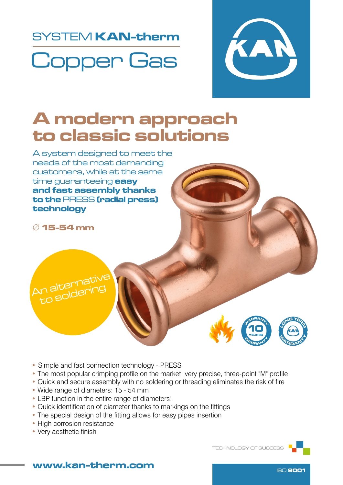## SYSTEM KAN-therm Copper Gas



### A modern approach to classic solutions

A system designed to meet the needs of the most demanding customers, while at the same time quaranteeing **easy** and fast assembly thanks to the PRESS (radial press) technology

∅ 15-54 mm





- Simple and fast connection technology PRESS
- The most popular crimping profile on the market: very precise, three-point "M" profile
- Quick and secure assembly with no soldering or threading eliminates the risk of fire
- Wide range of diameters: 15 54 mm
- LBP function in the entire range of diameters!
- Quick identification of diameter thanks to markings on the fittings
- The special design of the fitting allows for easy pipes insertion
- High corrosion resistance
- Very aesthetic finish

TECHNOLOGY OF SUCCESS



#### www.kan-therm.com